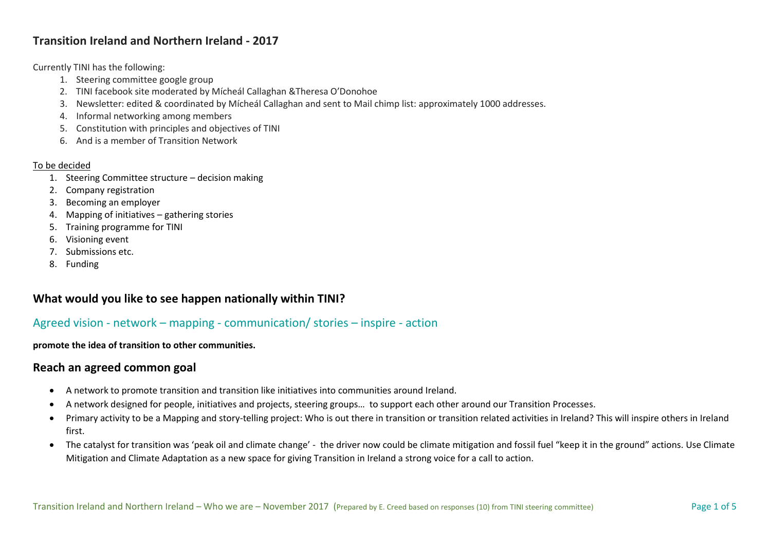## **Transition Ireland and Northern Ireland - 2017**

Currently TINI has the following:

- 1. Steering committee google group
- 2. TINI facebook site moderated by Mícheál Callaghan &Theresa O'Donohoe
- 3. Newsletter: edited & coordinated by Mícheál Callaghan and sent to Mail chimp list: approximately 1000 addresses.
- 4. Informal networking among members
- 5. Constitution with principles and objectives of TINI
- 6. And is a member of Transition Network

#### To be decided

- 1. Steering Committee structure decision making
- 2. Company registration
- 3. Becoming an employer
- 4. Mapping of initiatives gathering stories
- 5. Training programme for TINI
- 6. Visioning event
- 7. Submissions etc.
- 8. Funding

## **What would you like to see happen nationally within TINI?**

## Agreed vision - network – mapping - communication/ stories – inspire - action

#### **promote the idea of transition to other communities.**

## **Reach an agreed common goal**

- A network to promote transition and transition like initiatives into communities around Ireland.
- A network designed for people, initiatives and projects, steering groups… to support each other around our Transition Processes.
- Primary activity to be a Mapping and story-telling project: Who is out there in transition or transition related activities in Ireland? This will inspire others in Ireland first.
- The catalyst for transition was 'peak oil and climate change' the driver now could be climate mitigation and fossil fuel "keep it in the ground" actions. Use Climate Mitigation and Climate Adaptation as a new space for giving Transition in Ireland a strong voice for a call to action.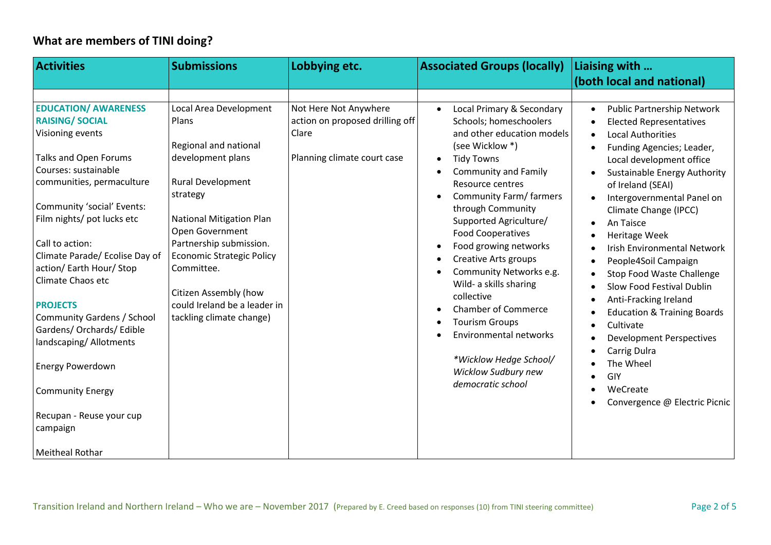# **What are members of TINI doing?**

| <b>Activities</b>                                                                                                                                                                                                                                                                                                                                                                                                                                                                                                                      | <b>Submissions</b>                                                                                                                                                                                                                                                                                                                     | Lobbying etc.                                                                                    | <b>Associated Groups (locally)</b>                                                                                                                                                                                                                                                                                                                                                                                                                                                                                                                                                       | Liaising with                                                                                                                                                                                                                                                                                                                                                                                                                                                                                                                                                                                                                                                                                                                                                                                            |
|----------------------------------------------------------------------------------------------------------------------------------------------------------------------------------------------------------------------------------------------------------------------------------------------------------------------------------------------------------------------------------------------------------------------------------------------------------------------------------------------------------------------------------------|----------------------------------------------------------------------------------------------------------------------------------------------------------------------------------------------------------------------------------------------------------------------------------------------------------------------------------------|--------------------------------------------------------------------------------------------------|------------------------------------------------------------------------------------------------------------------------------------------------------------------------------------------------------------------------------------------------------------------------------------------------------------------------------------------------------------------------------------------------------------------------------------------------------------------------------------------------------------------------------------------------------------------------------------------|----------------------------------------------------------------------------------------------------------------------------------------------------------------------------------------------------------------------------------------------------------------------------------------------------------------------------------------------------------------------------------------------------------------------------------------------------------------------------------------------------------------------------------------------------------------------------------------------------------------------------------------------------------------------------------------------------------------------------------------------------------------------------------------------------------|
|                                                                                                                                                                                                                                                                                                                                                                                                                                                                                                                                        |                                                                                                                                                                                                                                                                                                                                        |                                                                                                  |                                                                                                                                                                                                                                                                                                                                                                                                                                                                                                                                                                                          | (both local and national)                                                                                                                                                                                                                                                                                                                                                                                                                                                                                                                                                                                                                                                                                                                                                                                |
| <b>EDUCATION/ AWARENESS</b><br><b>RAISING/SOCIAL</b><br>Visioning events<br>Talks and Open Forums<br>Courses: sustainable<br>communities, permaculture<br>Community 'social' Events:<br>Film nights/ pot lucks etc<br>Call to action:<br>Climate Parade/ Ecolise Day of<br>action/ Earth Hour/ Stop<br>Climate Chaos etc<br><b>PROJECTS</b><br><b>Community Gardens / School</b><br>Gardens/ Orchards/ Edible<br>landscaping/ Allotments<br><b>Energy Powerdown</b><br><b>Community Energy</b><br>Recupan - Reuse your cup<br>campaign | Local Area Development<br>Plans<br>Regional and national<br>development plans<br>Rural Development<br>strategy<br><b>National Mitigation Plan</b><br>Open Government<br>Partnership submission.<br><b>Economic Strategic Policy</b><br>Committee.<br>Citizen Assembly (how<br>could Ireland be a leader in<br>tackling climate change) | Not Here Not Anywhere<br>action on proposed drilling off<br>Clare<br>Planning climate court case | Local Primary & Secondary<br>$\bullet$<br>Schools; homeschoolers<br>and other education models<br>(see Wicklow *)<br><b>Tidy Towns</b><br><b>Community and Family</b><br>Resource centres<br><b>Community Farm/ farmers</b><br>through Community<br>Supported Agriculture/<br><b>Food Cooperatives</b><br>Food growing networks<br><b>Creative Arts groups</b><br>Community Networks e.g.<br>Wild- a skills sharing<br>collective<br><b>Chamber of Commerce</b><br><b>Tourism Groups</b><br>Environmental networks<br>*Wicklow Hedge School/<br>Wicklow Sudbury new<br>democratic school | <b>Public Partnership Network</b><br>$\bullet$<br><b>Elected Representatives</b><br>$\bullet$<br><b>Local Authorities</b><br>$\bullet$<br>Funding Agencies; Leader,<br>$\bullet$<br>Local development office<br><b>Sustainable Energy Authority</b><br>$\bullet$<br>of Ireland (SEAI)<br>Intergovernmental Panel on<br>$\bullet$<br>Climate Change (IPCC)<br>An Taisce<br>$\bullet$<br><b>Heritage Week</b><br><b>Irish Environmental Network</b><br>People4Soil Campaign<br>$\bullet$<br>Stop Food Waste Challenge<br>Slow Food Festival Dublin<br>Anti-Fracking Ireland<br><b>Education &amp; Training Boards</b><br>Cultivate<br>$\bullet$<br><b>Development Perspectives</b><br>$\bullet$<br>Carrig Dulra<br>$\bullet$<br>The Wheel<br>GIY<br>WeCreate<br>$\bullet$<br>Convergence @ Electric Picnic |
| <b>Meitheal Rothar</b>                                                                                                                                                                                                                                                                                                                                                                                                                                                                                                                 |                                                                                                                                                                                                                                                                                                                                        |                                                                                                  |                                                                                                                                                                                                                                                                                                                                                                                                                                                                                                                                                                                          |                                                                                                                                                                                                                                                                                                                                                                                                                                                                                                                                                                                                                                                                                                                                                                                                          |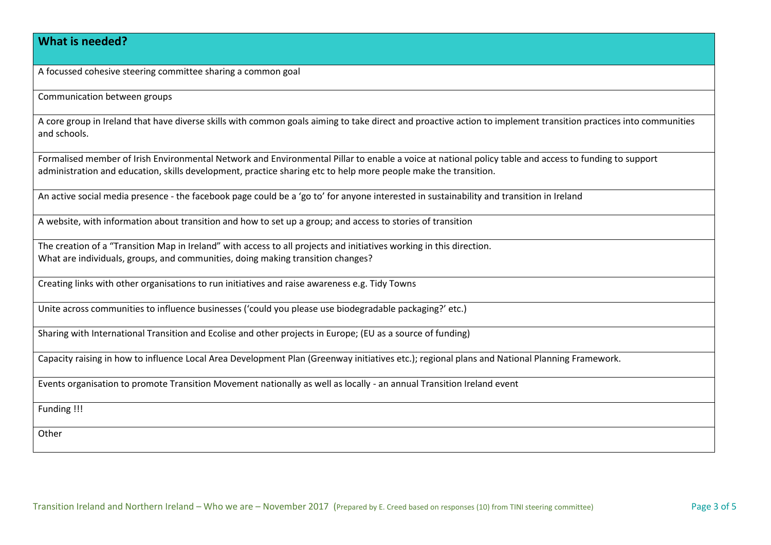## **What is needed?**

A focussed cohesive steering committee sharing a common goal

Communication between groups

A core group in Ireland that have diverse skills with common goals aiming to take direct and proactive action to implement transition practices into communities and schools.

Formalised member of Irish Environmental Network and Environmental Pillar to enable a voice at national policy table and access to funding to support administration and education, skills development, practice sharing etc to help more people make the transition.

An active social media presence - the facebook page could be a 'go to' for anyone interested in sustainability and transition in Ireland

A website, with information about transition and how to set up a group; and access to stories of transition

The creation of a "Transition Map in Ireland" with access to all projects and initiatives working in this direction. What are individuals, groups, and communities, doing making transition changes?

Creating links with other organisations to run initiatives and raise awareness e.g. Tidy Towns

Unite across communities to influence businesses ('could you please use biodegradable packaging?' etc.)

Sharing with International Transition and Ecolise and other projects in Europe; (EU as a source of funding)

Capacity raising in how to influence Local Area Development Plan (Greenway initiatives etc.); regional plans and National Planning Framework.

Events organisation to promote Transition Movement nationally as well as locally - an annual Transition Ireland event

Funding !!!

**Other**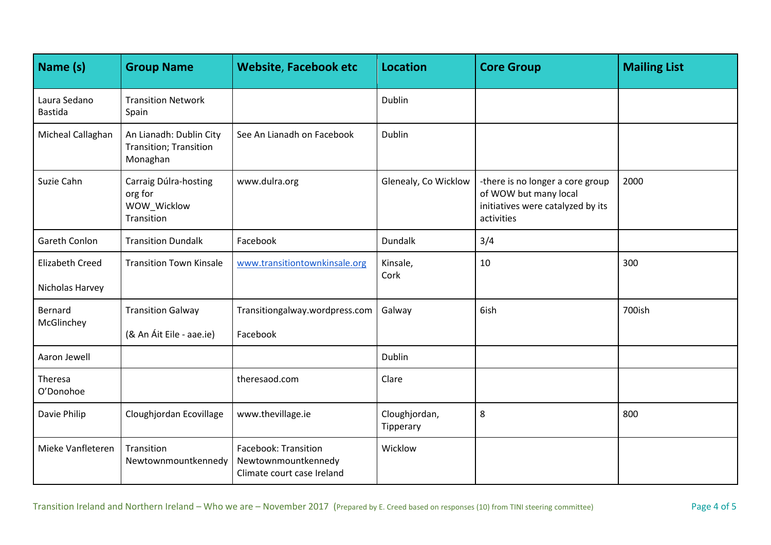| Name (s)                                  | <b>Group Name</b>                                             | <b>Website, Facebook etc</b>                                              | <b>Location</b>            | <b>Core Group</b>                                                                                            | <b>Mailing List</b> |
|-------------------------------------------|---------------------------------------------------------------|---------------------------------------------------------------------------|----------------------------|--------------------------------------------------------------------------------------------------------------|---------------------|
| Laura Sedano<br>Bastida                   | <b>Transition Network</b><br>Spain                            |                                                                           | Dublin                     |                                                                                                              |                     |
| Micheal Callaghan                         | An Lianadh: Dublin City<br>Transition; Transition<br>Monaghan | See An Lianadh on Facebook                                                | Dublin                     |                                                                                                              |                     |
| Suzie Cahn                                | Carraig Dúlra-hosting<br>org for<br>WOW Wicklow<br>Transition | www.dulra.org                                                             | Glenealy, Co Wicklow       | -there is no longer a core group<br>of WOW but many local<br>initiatives were catalyzed by its<br>activities | 2000                |
| Gareth Conlon                             | <b>Transition Dundalk</b>                                     | Facebook                                                                  | Dundalk                    | 3/4                                                                                                          |                     |
| <b>Elizabeth Creed</b><br>Nicholas Harvey | <b>Transition Town Kinsale</b>                                | www.transitiontownkinsale.org                                             | Kinsale,<br>Cork           | 10                                                                                                           | 300                 |
| Bernard<br>McGlinchey                     | <b>Transition Galway</b><br>(& An Áit Eile - aae.ie)          | Transitiongalway.wordpress.com<br>Facebook                                | Galway                     | 6ish                                                                                                         | 700ish              |
| Aaron Jewell                              |                                                               |                                                                           | Dublin                     |                                                                                                              |                     |
| Theresa<br>O'Donohoe                      |                                                               | theresaod.com                                                             | Clare                      |                                                                                                              |                     |
| Davie Philip                              | Cloughjordan Ecovillage                                       | www.thevillage.ie                                                         | Cloughjordan,<br>Tipperary | 8                                                                                                            | 800                 |
| Mieke Vanfleteren                         | Transition<br>Newtownmountkennedy                             | Facebook: Transition<br>Newtownmountkennedy<br>Climate court case Ireland | Wicklow                    |                                                                                                              |                     |